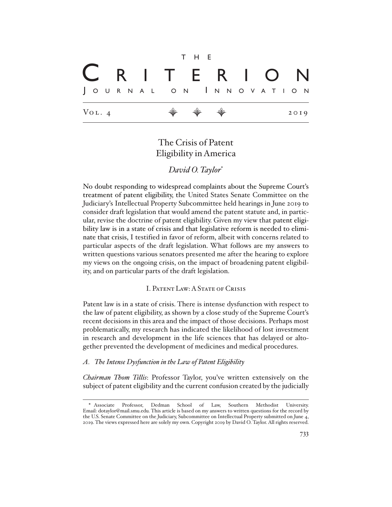$$
\begin{array}{|c|c|c|c|}\n\hline\n\text{R} & \text{I} & \text{T} & \text{E} & \text{R} & \text{I} & \text{O} & \text{N} \\
\hline\n\text{Journal don lningovation} \\
\hline\n\text{Vol. 4} & \text{W} & \text{W} & \text{W} & \text{2019}\n\end{array}
$$

# The Crisis of Patent Eligibility in America

## *David O. Taylor*\*

No doubt responding to widespread complaints about the Supreme Court's treatment of patent eligibility, the United States Senate Committee on the Judiciary's Intellectual Property Subcommittee held hearings in June 2019 to consider draft legislation that would amend the patent statute and, in particular, revise the doctrine of patent eligibility. Given my view that patent eligibility law is in a state of crisis and that legislative reform is needed to eliminate that crisis, I testified in favor of reform, albeit with concerns related to particular aspects of the draft legislation. What follows are my answers to written questions various senators presented me after the hearing to explore my views on the ongoing crisis, on the impact of broadening patent eligibility, and on particular parts of the draft legislation.

## I. Patent Law: A State of Crisis

Patent law is in a state of crisis. There is intense dysfunction with respect to the law of patent eligibility, as shown by a close study of the Supreme Court's recent decisions in this area and the impact of those decisions. Perhaps most problematically, my research has indicated the likelihood of lost investment in research and development in the life sciences that has delayed or altogether prevented the development of medicines and medical procedures.

#### *A. The Intense Dysfunction in the Law of Patent Eligibility*

*Chairman Thom Tillis*: Professor Taylor, you've written extensively on the subject of patent eligibility and the current confusion created by the judicially

<sup>\*</sup> Associate Professor, Dedman School of Law, Southern Methodist University. Email: dotaylor@mail.smu.edu. This article is based on my answers to written questions for the record by the U.S. Senate Committee on the Judiciary, Subcommittee on Intellectual Property submitted on June 4, 2019. The views expressed here are solely my own. Copyright 2019 by David O. Taylor. All rights reserved.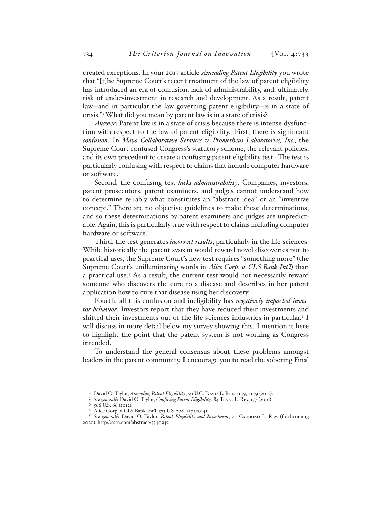created exceptions. In your 2017 article *Amending Patent Eligibility* you wrote that "[t]he Supreme Court's recent treatment of the law of patent eligibility has introduced an era of confusion, lack of administrability, and, ultimately, risk of under-investment in research and development. As a result, patent law—and in particular the law governing patent eligibility—is in a state of crisis."1 What did you mean by patent law is in a state of crisis?

*Answer*: Patent law is in a state of crisis because there is intense dysfunction with respect to the law of patent eligibility.<sup>2</sup> First, there is significant *confusion*. In *Mayo Collaborative Services v. Prometheus Laboratories, Inc.*, the Supreme Court confused Congress's statutory scheme, the relevant policies, and its own precedent to create a confusing patent eligibility test.<sup>3</sup> The test is particularly confusing with respect to claims that include computer hardware or software.

Second, the confusing test *lacks administrability*. Companies, investors, patent prosecutors, patent examiners, and judges cannot understand how to determine reliably what constitutes an "abstract idea" or an "inventive concept." There are no objective guidelines to make these determinations, and so these determinations by patent examiners and judges are unpredictable. Again, this is particularly true with respect to claims including computer hardware or software.

Third, the test generates *incorrect results*, particularly in the life sciences. While historically the patent system would reward novel discoveries put to practical uses, the Supreme Court's new test requires "something more" (the Supreme Court's unilluminating words in *Alice Corp. v. CLS Bank Int'l*) than a practical use.4 As a result, the current test would not necessarily reward someone who discovers the cure to a disease and describes in her patent application how to cure that disease using her discovery.

Fourth, all this confusion and ineligibility has *negatively impacted investor behavior*. Investors report that they have reduced their investments and shifted their investments out of the life sciences industries in particular.<sup>5</sup> I will discuss in more detail below my survey showing this. I mention it here to highlight the point that the patent system is not working as Congress intended.

To understand the general consensus about these problems amongst leaders in the patent community, I encourage you to read the sobering Final

<sup>1</sup> David O. Taylor, *Amending Patent Eligibility*, 50 U.C. Davis L. Rev. 2149, 2149 (2017).

<sup>2</sup> *See generally* David O. Taylor, *Confusing Patent Eligibility*, 84 Tenn. L. Rev. 157 (2016).

<sup>3</sup> 566 U.S. 66 (2012).

Alice Corp. v. CLS Bank Int'l, 573 U.S. 208, 217 (2014).

<sup>5</sup> *See generally* David O. Taylor, *Patent Eligibility and Investment*, 41 Cardozo L. Rev. (forthcoming 2020), http://ssrn.com/abstract=3340937.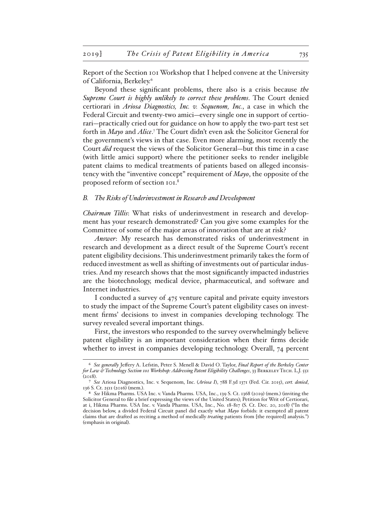Report of the Section 101 Workshop that I helped convene at the University of California, Berkeley.6

Beyond these significant problems, there also is a crisis because *the Supreme Court is highly unlikely to correct these problems*. The Court denied certiorari in *Ariosa Diagnostics, Inc. v. Sequenom, Inc.*, a case in which the Federal Circuit and twenty-two amici—every single one in support of certiorari—practically cried out for guidance on how to apply the two-part test set forth in *Mayo* and *Alice*.<sup>7</sup> The Court didn't even ask the Solicitor General for the government's views in that case. Even more alarming, most recently the Court *did* request the views of the Solicitor General—but this time in a case (with little amici support) where the petitioner seeks to render ineligible patent claims to medical treatments of patients based on alleged inconsistency with the "inventive concept" requirement of *Mayo*, the opposite of the proposed reform of section 101.8

#### *B. The Risks of Underinvestment in Research and Development*

*Chairman Tillis*: What risks of underinvestment in research and development has your research demonstrated? Can you give some examples for the Committee of some of the major areas of innovation that are at risk?

*Answer*: My research has demonstrated risks of underinvestment in research and development as a direct result of the Supreme Court's recent patent eligibility decisions. This underinvestment primarily takes the form of reduced investment as well as shifting of investments out of particular industries. And my research shows that the most significantly impacted industries are the biotechnology, medical device, pharmaceutical, and software and Internet industries.

I conducted a survey of 475 venture capital and private equity investors to study the impact of the Supreme Court's patent eligibility cases on investment firms' decisions to invest in companies developing technology. The survey revealed several important things.

First, the investors who responded to the survey overwhelmingly believe patent eligibility is an important consideration when their firms decide whether to invest in companies developing technology. Overall, 74 percent

<sup>6</sup> *See generally* Jeffery A. Lefstin, Peter S. Menell & David O. Taylor, *Final Report of the Berkeley Center for Law & Technology Section 101 Workshop: Addressing Patent Eligibility Challenges*, 33 Berkeley Tech. L.J. 551 (2018).

<sup>7</sup> *See* Ariosa Diagnostics, Inc. v. Sequenom, Inc. (*Ariosa I*), 788 F.3d 1371 (Fed. Cir. 2015), *cert. denied*, 136 S. Ct. 2511 (2016) (mem.).

<sup>8</sup> *See* Hikma Pharms. USA Inc. v. Vanda Pharms. USA, Inc., 139 S. Ct. 1368 (2019) (mem.) (inviting the Solicitor General to file a brief expressing the views of the United States); Petition for Writ of Certiorari, at i, Hikma Pharms. USA Inc. v. Vanda Pharms. USA, Inc., No. 18-817 (S. Ct. Dec. 20, 2018) ("In the decision below, a divided Federal Circuit panel did exactly what *Mayo* forbids: it exempted all patent claims that are drafted as reciting a method of medically *treating* patients from [the required] analysis.") (emphasis in original).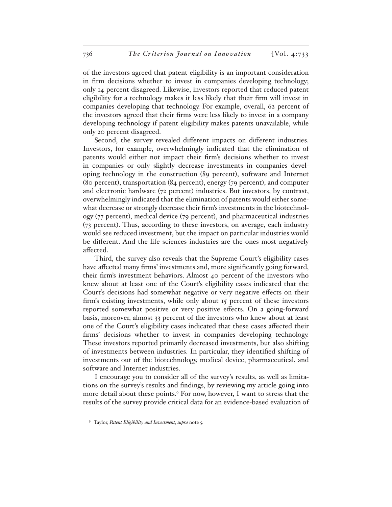of the investors agreed that patent eligibility is an important consideration in firm decisions whether to invest in companies developing technology; only 14 percent disagreed. Likewise, investors reported that reduced patent eligibility for a technology makes it less likely that their firm will invest in companies developing that technology. For example, overall, 62 percent of the investors agreed that their firms were less likely to invest in a company developing technology if patent eligibility makes patents unavailable, while only 20 percent disagreed.

Second, the survey revealed different impacts on different industries. Investors, for example, overwhelmingly indicated that the elimination of patents would either not impact their firm's decisions whether to invest in companies or only slightly decrease investments in companies developing technology in the construction (89 percent), software and Internet (80 percent), transportation (84 percent), energy (79 percent), and computer and electronic hardware (72 percent) industries. But investors, by contrast, overwhelmingly indicated that the elimination of patents would either somewhat decrease or strongly decrease their firm's investments in the biotechnology (77 percent), medical device (79 percent), and pharmaceutical industries (73 percent). Thus, according to these investors, on average, each industry would see reduced investment, but the impact on particular industries would be different. And the life sciences industries are the ones most negatively affected.

Third, the survey also reveals that the Supreme Court's eligibility cases have affected many firms' investments and, more significantly going forward, their firm's investment behaviors. Almost 40 percent of the investors who knew about at least one of the Court's eligibility cases indicated that the Court's decisions had somewhat negative or very negative effects on their firm's existing investments, while only about 15 percent of these investors reported somewhat positive or very positive effects. On a going-forward basis, moreover, almost 33 percent of the investors who knew about at least one of the Court's eligibility cases indicated that these cases affected their firms' decisions whether to invest in companies developing technology. These investors reported primarily decreased investments, but also shifting of investments between industries. In particular, they identified shifting of investments out of the biotechnology, medical device, pharmaceutical, and software and Internet industries.

I encourage you to consider all of the survey's results, as well as limitations on the survey's results and findings, by reviewing my article going into more detail about these points.9 For now, however, I want to stress that the results of the survey provide critical data for an evidence-based evaluation of

<sup>9</sup> Taylor, *Patent Eligibility and Investment*, *supra* note 5.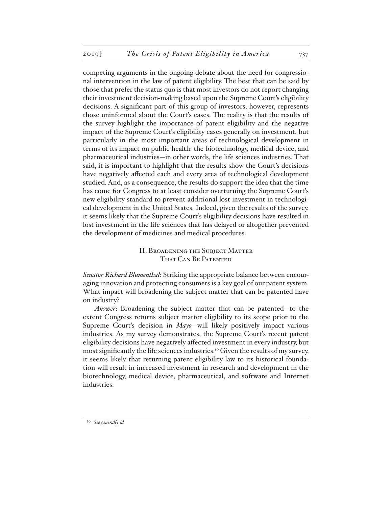competing arguments in the ongoing debate about the need for congressional intervention in the law of patent eligibility. The best that can be said by those that prefer the status quo is that most investors do not report changing their investment decision-making based upon the Supreme Court's eligibility decisions. A significant part of this group of investors, however, represents those uninformed about the Court's cases. The reality is that the results of the survey highlight the importance of patent eligibility and the negative impact of the Supreme Court's eligibility cases generally on investment, but particularly in the most important areas of technological development in terms of its impact on public health: the biotechnology, medical device, and pharmaceutical industries—in other words, the life sciences industries. That said, it is important to highlight that the results show the Court's decisions have negatively affected each and every area of technological development studied. And, as a consequence, the results do support the idea that the time has come for Congress to at least consider overturning the Supreme Court's new eligibility standard to prevent additional lost investment in technological development in the United States. Indeed, given the results of the survey, it seems likely that the Supreme Court's eligibility decisions have resulted in lost investment in the life sciences that has delayed or altogether prevented the development of medicines and medical procedures.

## II. Broadening the Subject Matter THAT CAN BE PATENTED

*Senator Richard Blumenthal*: Striking the appropriate balance between encouraging innovation and protecting consumers is a key goal of our patent system. What impact will broadening the subject matter that can be patented have on industry?

*Answer*: Broadening the subject matter that can be patented—to the extent Congress returns subject matter eligibility to its scope prior to the Supreme Court's decision in *Mayo*—will likely positively impact various industries. As my survey demonstrates, the Supreme Court's recent patent eligibility decisions have negatively affected investment in every industry, but most significantly the life sciences industries.<sup>10</sup> Given the results of my survey, it seems likely that returning patent eligibility law to its historical foundation will result in increased investment in research and development in the biotechnology, medical device, pharmaceutical, and software and Internet industries.

<sup>10</sup> *See generally id.*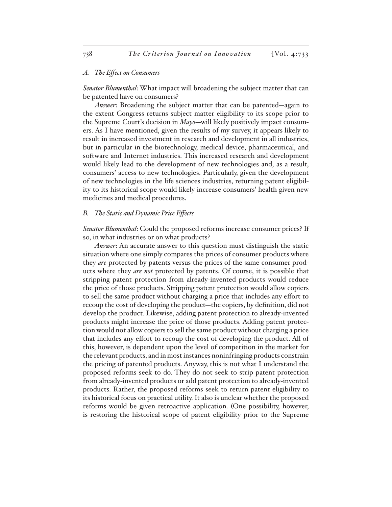#### *A. The Effect on Consumers*

*Senator Blumenthal*: What impact will broadening the subject matter that can be patented have on consumers?

*Answer*: Broadening the subject matter that can be patented—again to the extent Congress returns subject matter eligibility to its scope prior to the Supreme Court's decision in *Mayo*—will likely positively impact consumers. As I have mentioned, given the results of my survey, it appears likely to result in increased investment in research and development in all industries, but in particular in the biotechnology, medical device, pharmaceutical, and software and Internet industries. This increased research and development would likely lead to the development of new technologies and, as a result, consumers' access to new technologies. Particularly, given the development of new technologies in the life sciences industries, returning patent eligibility to its historical scope would likely increase consumers' health given new medicines and medical procedures.

#### *B. The Static and Dynamic Price Effects*

*Senator Blumenthal*: Could the proposed reforms increase consumer prices? If so, in what industries or on what products?

*Answer*: An accurate answer to this question must distinguish the static situation where one simply compares the prices of consumer products where they *are* protected by patents versus the prices of the same consumer products where they *are not* protected by patents. Of course, it is possible that stripping patent protection from already-invented products would reduce the price of those products. Stripping patent protection would allow copiers to sell the same product without charging a price that includes any effort to recoup the cost of developing the product—the copiers, by definition, did not develop the product. Likewise, adding patent protection to already-invented products might increase the price of those products. Adding patent protection would not allow copiers to sell the same product without charging a price that includes any effort to recoup the cost of developing the product. All of this, however, is dependent upon the level of competition in the market for the relevant products, and in most instances noninfringing products constrain the pricing of patented products. Anyway, this is not what I understand the proposed reforms seek to do. They do not seek to strip patent protection from already-invented products or add patent protection to already-invented products. Rather, the proposed reforms seek to return patent eligibility to its historical focus on practical utility. It also is unclear whether the proposed reforms would be given retroactive application. (One possibility, however, is restoring the historical scope of patent eligibility prior to the Supreme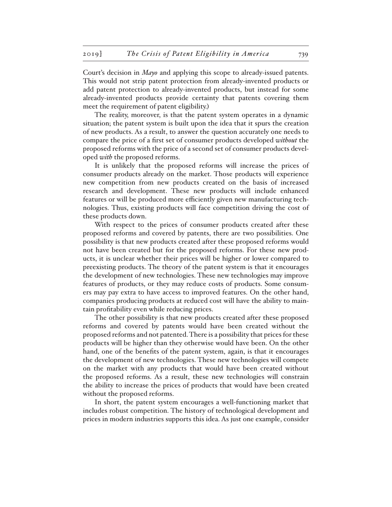Court's decision in *Mayo* and applying this scope to already-issued patents. This would not strip patent protection from already-invented products or add patent protection to already-invented products, but instead for some already-invented products provide certainty that patents covering them meet the requirement of patent eligibility.)

The reality, moreover, is that the patent system operates in a dynamic situation; the patent system is built upon the idea that it spurs the creation of new products. As a result, to answer the question accurately one needs to compare the price of a first set of consumer products developed *without* the proposed reforms with the price of a second set of consumer products developed *with* the proposed reforms.

It is unlikely that the proposed reforms will increase the prices of consumer products already on the market. Those products will experience new competition from new products created on the basis of increased research and development. These new products will include enhanced features or will be produced more efficiently given new manufacturing technologies. Thus, existing products will face competition driving the cost of these products down.

With respect to the prices of consumer products created after these proposed reforms and covered by patents, there are two possibilities. One possibility is that new products created after these proposed reforms would not have been created but for the proposed reforms. For these new products, it is unclear whether their prices will be higher or lower compared to preexisting products. The theory of the patent system is that it encourages the development of new technologies. These new technologies may improve features of products, or they may reduce costs of products. Some consumers may pay extra to have access to improved features. On the other hand, companies producing products at reduced cost will have the ability to maintain profitability even while reducing prices.

The other possibility is that new products created after these proposed reforms and covered by patents would have been created without the proposed reforms and not patented. There is a possibility that prices for these products will be higher than they otherwise would have been. On the other hand, one of the benefits of the patent system, again, is that it encourages the development of new technologies. These new technologies will compete on the market with any products that would have been created without the proposed reforms. As a result, these new technologies will constrain the ability to increase the prices of products that would have been created without the proposed reforms.

In short, the patent system encourages a well-functioning market that includes robust competition. The history of technological development and prices in modern industries supports this idea. As just one example, consider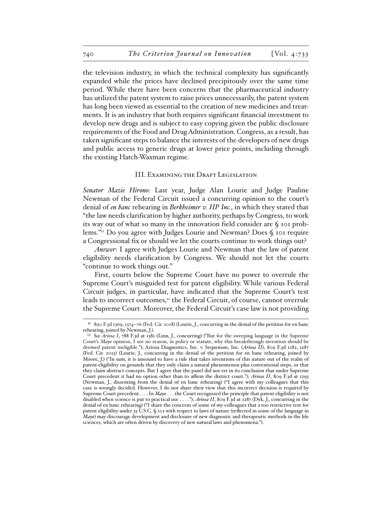the television industry, in which the technical complexity has significantly expanded while the prices have declined precipitously over the same time period. While there have been concerns that the pharmaceutical industry has utilized the patent system to raise prices unnecessarily, the patent system has long been viewed as essential to the creation of new medicines and treatments. It is an industry that both requires significant financial investment to develop new drugs and is subject to easy copying given the public disclosure requirements of the Food and Drug Administration. Congress, as a result, has taken significant steps to balance the interests of the developers of new drugs and public access to generic drugs at lower price points, including through the existing Hatch-Waxman regime.

#### III. Examining the Draft Legislation

*Senator Mazie Hirono*: Last year, Judge Alan Lourie and Judge Pauline Newman of the Federal Circuit issued a concurring opinion to the court's denial of *en banc* rehearing in *Berkheimer v. HP Inc.*, in which they stated that "the law needs clarification by higher authority, perhaps by Congress, to work its way out of what so many in the innovation field consider are  $\oint$  101 problems."11 Do you agree with Judges Lourie and Newman? Does § 101 require a Congressional fix or should we let the courts continue to work things out?

*Answer*: I agree with Judges Lourie and Newman that the law of patent eligibility needs clarification by Congress. We should not let the courts "continue to work things out."

First, courts below the Supreme Court have no power to overrule the Supreme Court's misguided test for patent eligibility. While various Federal Circuit judges, in particular, have indicated that the Supreme Court's test leads to incorrect outcomes, $12$  the Federal Circuit, of course, cannot overrule the Supreme Court. Moreover, the Federal Circuit's case law is not providing

<sup>11</sup> 890 F.3d 1369, 1374–76 (Fed. Cir. 2018) (Lourie, J., concurring in the denial of the petition for en banc rehearing, joined by Newman, J.).

<sup>12</sup> *See Ariosa I*, 788 F.3d at 1381 (Linn, J., concurring) ("But for the sweeping language in the Supreme Court's *Mayo* opinion, I see no reason, in policy or statute, why this breakthrough invention should be deemed patent ineligible."); Ariosa Diagnostics, Inc. v. Sequenom, Inc. (*Ariosa II*), 809 F.3d 1282, 1287 (Fed. Cir. 2015) (Lourie, J., concurring in the denial of the petition for en banc rehearing, joined by Moore, J.) ("In sum, it is unsound to have a rule that takes inventions of this nature out of the realm of patent-eligibility on grounds that they only claim a natural phenomenon plus conventional steps, or that they claim abstract concepts. But I agree that the panel did not err in its conclusion that under Supreme Court precedent it had no option other than to affirm the district court."); *Ariosa II*, 809 F.3d at 1293 (Newman, J., dissenting from the denial of en banc rehearing) ("I agree with my colleagues that this case is wrongly decided. However, I do not share their view that this incorrect decision is required by Supreme Court precedent. . . . In *Mayo* . . . the Court recognized the principle that patent eligibility is not disabled when science is put to practical use . . . ."); *Ariosa II*, 809 F.3d at 1287 (Dyk, J., concurring in the denial of en banc rehearing) ("I share the concerns of some of my colleagues that a too restrictive test for patent eligibility under 35 U.S.C. § 101 with respect to laws of nature (reflected in some of the language in *Mayo*) may discourage development and disclosure of new diagnostic and therapeutic methods in the life sciences, which are often driven by discovery of new natural laws and phenomena.").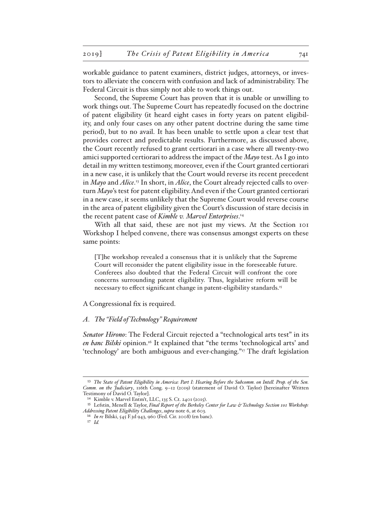workable guidance to patent examiners, district judges, attorneys, or investors to alleviate the concern with confusion and lack of administrability. The Federal Circuit is thus simply not able to work things out.

Second, the Supreme Court has proven that it is unable or unwilling to work things out. The Supreme Court has repeatedly focused on the doctrine of patent eligibility (it heard eight cases in forty years on patent eligibility, and only four cases on any other patent doctrine during the same time period), but to no avail. It has been unable to settle upon a clear test that provides correct and predictable results. Furthermore, as discussed above, the Court recently refused to grant certiorari in a case where all twenty-two amici supported certiorari to address the impact of the *Mayo* test. As I go into detail in my written testimony, moreover, even if the Court granted certiorari in a new case, it is unlikely that the Court would reverse its recent precedent in *Mayo* and *Alice*. 13 In short, in *Alice*, the Court already rejected calls to overturn *Mayo*'s test for patent eligibility. And even if the Court granted certiorari in a new case, it seems unlikely that the Supreme Court would reverse course in the area of patent eligibility given the Court's discussion of stare decisis in the recent patent case of *Kimble v. Marvel Enterprises*. 14

With all that said, these are not just my views. At the Section 101 Workshop I helped convene, there was consensus amongst experts on these same points:

[T]he workshop revealed a consensus that it is unlikely that the Supreme Court will reconsider the patent eligibility issue in the foreseeable future. Conferees also doubted that the Federal Circuit will confront the core concerns surrounding patent eligibility. Thus, legislative reform will be necessary to effect significant change in patent-eligibility standards.<sup>15</sup>

A Congressional fix is required.

#### *A. The "Field of Technology" Requirement*

*Senator Hirono*: The Federal Circuit rejected a "technological arts test" in its *en banc Bilski* opinion.16 It explained that "the terms 'technological arts' and 'technology' are both ambiguous and ever-changing."17 The draft legislation

<sup>&</sup>lt;sup>13</sup> The State of Patent Eligibility in America: Part I: Hearing Before the Subcomm. on Intell. Prop. of the Sen. *Comm. on the Judiciary*, 116th Cong. 9–12 (2019) (statement of David O. Taylor) [hereinafter Written Testimony of David O. Taylor].

<sup>14</sup> Kimble v. Marvel Entm't, LLC, 135 S. Ct. 2401 (2015).

<sup>15</sup> Lefstin, Menell & Taylor, *Final Report of the Berkeley Center for Law & Technology Section 101 Workshop: Addressing Patent Eligibility Challenges*, *supra* note 6, at 603.

<sup>16</sup> *In re* Bilski, 545 F.3d 943, 960 (Fed. Cir. 2008) (en banc).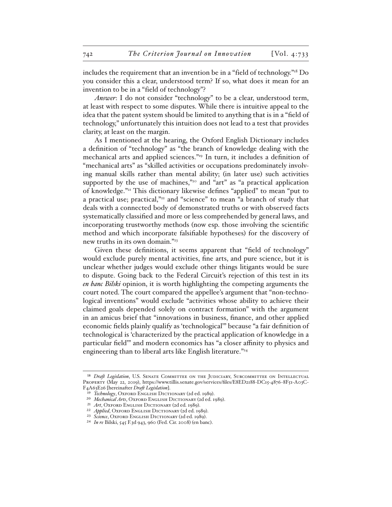includes the requirement that an invention be in a "field of technology."<sup>18</sup> Do you consider this a clear, understood term? If so, what does it mean for an invention to be in a "field of technology"?

*Answer*: I do not consider "technology" to be a clear, understood term, at least with respect to some disputes. While there is intuitive appeal to the idea that the patent system should be limited to anything that is in a "field of technology," unfortunately this intuition does not lead to a test that provides clarity, at least on the margin.

As I mentioned at the hearing, the Oxford English Dictionary includes a definition of "technology" as "the branch of knowledge dealing with the mechanical arts and applied sciences."19 In turn, it includes a definition of "mechanical arts" as "skilled activities or occupations predominately involving manual skills rather than mental ability; (in later use) such activities supported by the use of machines,"<sup>20</sup> and "art" as "a practical application of knowledge."21 This dictionary likewise defines "applied" to mean "put to a practical use; practical,"<sup>22</sup> and "science" to mean "a branch of study that deals with a connected body of demonstrated truths or with observed facts systematically classified and more or less comprehended by general laws, and incorporating trustworthy methods (now esp. those involving the scientific method and which incorporate falsifiable hypotheses) for the discovery of new truths in its own domain."23

Given these definitions, it seems apparent that "field of technology" would exclude purely mental activities, fine arts, and pure science, but it is unclear whether judges would exclude other things litigants would be sure to dispute. Going back to the Federal Circuit's rejection of this test in its *en banc Bilski* opinion, it is worth highlighting the competing arguments the court noted. The court compared the appellee's argument that "non-technological inventions" would exclude "activities whose ability to achieve their claimed goals depended solely on contract formation" with the argument in an amicus brief that "innovations in business, finance, and other applied economic fields plainly qualify as 'technological'" because "a fair definition of technological is 'characterized by the practical application of knowledge in a particular field'" and modern economics has "a closer affinity to physics and engineering than to liberal arts like English literature."<sup>24</sup>

<sup>&</sup>lt;sup>18</sup> *Draft Legislation*, U.S. SENATE COMMITTEE ON THE JUDICIARY, SUBCOMMITTEE ON INTELLECTUAL Property (May 22, 2019), https://www.tillis.senate.gov/services/files/E8ED2188-DC15-4876-8F51-A03C-F4A63E26 [hereinafter *Draft Legislation*].

<sup>&</sup>lt;sup>19</sup> *Technology*, Oxford ENGLISH DICTIONARY (2d ed. 1989).

<sup>&</sup>lt;sup>20</sup> *Mechanical Arts*, OXFORD ENGLISH DICTIONARY (2d ed. 1989).

<sup>&</sup>lt;sup>21</sup> *Art*, Oxford English Dictionary (2d ed. 1989).

<sup>&</sup>lt;sup>22</sup> *Applied*, OXFORD ENGLISH DICTIONARY (2d ed. 1989).

<sup>&</sup>lt;sup>23</sup> *Science*, OXFORD ENGLISH DICTIONARY (2d ed. 1989).

<sup>24</sup> *In re* Bilski, 545 F.3d 943, 960 (Fed. Cir. 2008) (en banc).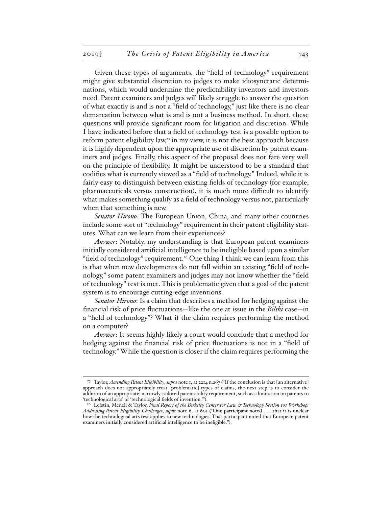Given these types of arguments, the "field of technology" requirement might give substantial discretion to judges to make idiosyncratic determinations, which would undermine the predictability inventors and investors need. Patent examiners and judges will likely struggle to answer the question of what exactly is and is not a "field of technology," just like there is no clear demarcation between what is and is not a business method. In short, these questions will provide significant room for litigation and discretion. While I have indicated before that a field of technology test is a possible option to reform patent eligibility law, $25$  in my view, it is not the best approach because it is highly dependent upon the appropriate use of discretion by patent examiners and judges. Finally, this aspect of the proposal does not fare very well on the principle of flexibility. It might be understood to be a standard that codifies what is currently viewed as a "field of technology." Indeed, while it is fairly easy to distinguish between existing fields of technology (for example, pharmaceuticals versus construction), it is much more difficult to identify what makes something qualify as a field of technology versus not, particularly when that something is new.

*Senator Hirono*: The European Union, China, and many other countries include some sort of "technology" requirement in their patent eligibility statutes. What can we learn from their experiences?

*Answer*: Notably, my understanding is that European patent examiners initially considered artificial intelligence to be ineligible based upon a similar "field of technology" requirement.<sup>26</sup> One thing I think we can learn from this is that when new developments do not fall within an existing "field of technology," some patent examiners and judges may not know whether the "field of technology" test is met. This is problematic given that a goal of the patent system is to encourage cutting-edge inventions.

*Senator Hirono*: Is a claim that describes a method for hedging against the financial risk of price fluctuations—like the one at issue in the *Bilski* case—in a "field of technology"? What if the claim requires performing the method on a computer?

*Answer*: It seems highly likely a court would conclude that a method for hedging against the financial risk of price fluctuations is not in a "field of technology." While the question is closer if the claim requires performing the

<sup>25</sup> Taylor, *Amending Patent Eligibility*, *supra* note 1, at 2214 n.267 ("If the conclusion is that [an alternative] approach does not appropriately treat [problematic] types of claims, the next step is to consider the addition of an appropriate, narrowly-tailored patentability requirement, such as a limitation on patents to 'technological arts' or 'technological fields of invention.'").

<sup>26</sup> Lefstin, Menell & Taylor, *Final Report of the Berkeley Center for Law & Technology Section 101 Workshop: Addressing Patent Eligibility Challenges*, *supra* note 6, at 601 ("One participant noted . . . that it is unclear how the technological arts test applies to new technologies. That participant noted that European patent examiners initially considered artificial intelligence to be ineligible.").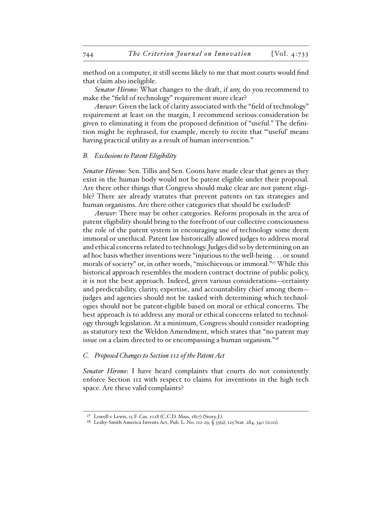method on a computer, it still seems likely to me that most courts would find that claim also ineligible.

*Senator Hirono*: What changes to the draft, if any, do you recommend to make the "field of technology" requirement more clear?

*Answer*: Given the lack of clarity associated with the "field of technology" requirement at least on the margin, I recommend serious consideration be given to eliminating it from the proposed definition of "useful." The definition might be rephrased, for example, merely to recite that "'useful' means having practical utility as a result of human intervention."

#### *B. Exclusions to Patent Eligibility*

*Senator Hirono*: Sen. Tillis and Sen. Coons have made clear that genes as they exist in the human body would not be patent eligible under their proposal. Are there other things that Congress should make clear are not patent eligible? There are already statutes that prevent patents on tax strategies and human organisms. Are there other categories that should be excluded?

*Answer*: There may be other categories. Reform proposals in the area of patent eligibility should bring to the forefront of our collective consciousness the role of the patent system in encouraging use of technology some deem immoral or unethical. Patent law historically allowed judges to address moral and ethical concerns related to technology. Judges did so by determining on an ad hoc basis whether inventions were "injurious to the well-being . . . or sound morals of society" or, in other words, "mischievous or immoral."<sup>27</sup> While this historical approach resembles the modern contract doctrine of public policy, it is not the best approach. Indeed, given various considerations—certainty and predictability, clarity, expertise, and accountability chief among them judges and agencies should not be tasked with determining which technologies should not be patent-eligible based on moral or ethical concerns. The best approach is to address any moral or ethical concerns related to technology through legislation. At a minimum, Congress should consider readopting as statutory text the Weldon Amendment, which states that "no patent may issue on a claim directed to or encompassing a human organism."28

#### *C. Proposed Changes to Section 112 of the Patent Act*

*Senator Hirono*: I have heard complaints that courts do not consistently enforce Section 112 with respect to claims for inventions in the high tech space. Are these valid complaints?

<sup>27</sup> Lowell v. Lewis, 15 F. Cas. 1018 (C.C.D. Mass. 1817) (Story, J.).

<sup>28</sup> Leahy-Smith America Invents Act, Pub. L. No. 112-29, § 33(a), 125 Stat. 284, 340 (2011).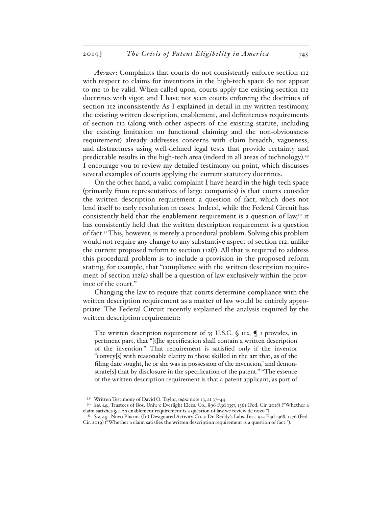*Answer*: Complaints that courts do not consistently enforce section 112 with respect to claims for inventions in the high-tech space do not appear to me to be valid. When called upon, courts apply the existing section 112 doctrines with vigor, and I have not seen courts enforcing the doctrines of section 112 inconsistently. As I explained in detail in my written testimony, the existing written description, enablement, and definiteness requirements of section 112 (along with other aspects of the existing statute, including the existing limitation on functional claiming and the non-obviousness requirement) already addresses concerns with claim breadth, vagueness, and abstractness using well-defined legal tests that provide certainty and predictable results in the high-tech area (indeed in all areas of technology).29 I encourage you to review my detailed testimony on point, which discusses several examples of courts applying the current statutory doctrines.

On the other hand, a valid complaint I have heard in the high-tech space (primarily from representatives of large companies) is that courts consider the written description requirement a question of fact, which does not lend itself to early resolution in cases. Indeed, while the Federal Circuit has consistently held that the enablement requirement is a question of law,<sup>30</sup> it has consistently held that the written description requirement is a question of fact.31 This, however, is merely a procedural problem. Solving this problem would not require any change to any substantive aspect of section 112, unlike the current proposed reform to section 112(f). All that is required to address this procedural problem is to include a provision in the proposed reform stating, for example, that "compliance with the written description requirement of section 112(a) shall be a question of law exclusively within the province of the court."

Changing the law to require that courts determine compliance with the written description requirement as a matter of law would be entirely appropriate. The Federal Circuit recently explained the analysis required by the written description requirement:

The written description requirement of  $35$  U.S.C.  $\oint$  112,  $\P$  1 provides, in pertinent part, that "[t]he specification shall contain a written description of the invention." That requirement is satisfied only if the inventor "convey[s] with reasonable clarity to those skilled in the art that, as of the filing date sought, he or she was in possession of the invention,' and demonstrate[s] that by disclosure in the specification of the patent." "The essence of the written description requirement is that a patent applicant, as part of

<sup>29</sup> Written Testimony of David O. Taylor, *supra* note 13, at 37–44.

<sup>30</sup> *See, e.g.*, Trustees of Bos. Univ. v. Everlight Elecs. Co., 896 F.3d 1357, 1361 (Fed. Cir. 2018) ("Whether a claim satisfies § 112's enablement requirement is a question of law we review de novo.").

<sup>31</sup> *See, e.g.*, Nuvo Pharm. (Ir.) Designated Activity Co. v. Dr. Reddy's Labs. Inc., 923 F.3d 1368, 1376 (Fed. Cir. 2019) ("Whether a claim satisfies the written description requirement is a question of fact.").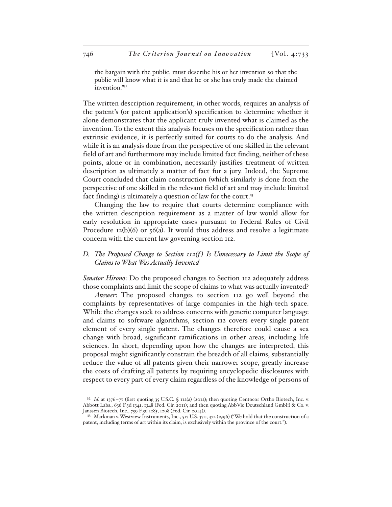the bargain with the public, must describe his or her invention so that the public will know what it is and that he or she has truly made the claimed invention."32

The written description requirement, in other words, requires an analysis of the patent's (or patent application's) specification to determine whether it alone demonstrates that the applicant truly invented what is claimed as the invention. To the extent this analysis focuses on the specification rather than extrinsic evidence, it is perfectly suited for courts to do the analysis. And while it is an analysis done from the perspective of one skilled in the relevant field of art and furthermore may include limited fact finding, neither of these points, alone or in combination, necessarily justifies treatment of written description as ultimately a matter of fact for a jury. Indeed, the Supreme Court concluded that claim construction (which similarly is done from the perspective of one skilled in the relevant field of art and may include limited fact finding) is ultimately a question of law for the court.<sup>33</sup>

Changing the law to require that courts determine compliance with the written description requirement as a matter of law would allow for early resolution in appropriate cases pursuant to Federal Rules of Civil Procedure  $12(b)(6)$  or  $56(a)$ . It would thus address and resolve a legitimate concern with the current law governing section 112.

## *D.* The Proposed Change to Section 112(f) Is Unnecessary to Limit the Scope of *Claims to What Was Actually Invented*

*Senator Hirono*: Do the proposed changes to Section 112 adequately address those complaints and limit the scope of claims to what was actually invented?

*Answer*: The proposed changes to section 112 go well beyond the complaints by representatives of large companies in the high-tech space. While the changes seek to address concerns with generic computer language and claims to software algorithms, section 112 covers every single patent element of every single patent. The changes therefore could cause a sea change with broad, significant ramifications in other areas, including life sciences. In short, depending upon how the changes are interpreted, this proposal might significantly constrain the breadth of all claims, substantially reduce the value of all patents given their narrower scope, greatly increase the costs of drafting all patents by requiring encyclopedic disclosures with respect to every part of every claim regardless of the knowledge of persons of

<sup>&</sup>lt;sup>32</sup> *Id.* at 1376-77 (first quoting 35 U.S.C. § 112(a) (2012); then quoting Centocor Ortho Biotech, Inc. v. Abbott Labs., 636 F.3d 1341, 1348 (Fed. Cir. 2011); and then quoting AbbVie Deutschland GmbH & Co. v. Janssen Biotech, Inc., 759 F.3d 1285, 1298 (Fed. Cir. 2014)).

<sup>33</sup> Markman v. Westview Instruments, Inc., 517 U.S. 370, 372 (1996) ("We hold that the construction of a patent, including terms of art within its claim, is exclusively within the province of the court.").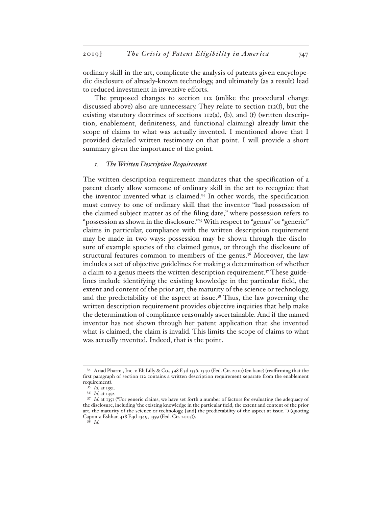ordinary skill in the art, complicate the analysis of patents given encyclopedic disclosure of already-known technology, and ultimately (as a result) lead to reduced investment in inventive efforts.

The proposed changes to section 112 (unlike the procedural change discussed above) also are unnecessary. They relate to section 112(f), but the existing statutory doctrines of sections  $112(a)$ , (b), and (f) (written description, enablement, definiteness, and functional claiming) already limit the scope of claims to what was actually invented. I mentioned above that I provided detailed written testimony on that point. I will provide a short summary given the importance of the point.

#### *1. The Written Description Requirement*

The written description requirement mandates that the specification of a patent clearly allow someone of ordinary skill in the art to recognize that the inventor invented what is claimed.34 In other words, the specification must convey to one of ordinary skill that the inventor "had possession of the claimed subject matter as of the filing date," where possession refers to "possession as shown in the disclosure."35 With respect to "genus" or "generic" claims in particular, compliance with the written description requirement may be made in two ways: possession may be shown through the disclosure of example species of the claimed genus, or through the disclosure of structural features common to members of the genus.36 Moreover, the law includes a set of objective guidelines for making a determination of whether a claim to a genus meets the written description requirement.37 These guidelines include identifying the existing knowledge in the particular field, the extent and content of the prior art, the maturity of the science or technology, and the predictability of the aspect at issue.<sup>38</sup> Thus, the law governing the written description requirement provides objective inquiries that help make the determination of compliance reasonably ascertainable. And if the named inventor has not shown through her patent application that she invented what is claimed, the claim is invalid. This limits the scope of claims to what was actually invented. Indeed, that is the point.

<sup>34</sup> Ariad Pharm., Inc. v. Eli Lilly & Co., 598 F.3d 1336, 1340 (Fed. Cir. 2010) (en banc) (reaffirming that the first paragraph of section 112 contains a written description requirement separate from the enablement requirement).

*Id.* at 1351.

<sup>36</sup> *Id.* at 1352.

<sup>37</sup> *Id.* at 1351 ("For generic claims, we have set forth a number of factors for evaluating the adequacy of the disclosure, including 'the existing knowledge in the particular field, the extent and content of the prior art, the maturity of the science or technology, [and] the predictability of the aspect at issue.'") (quoting Capon v. Eshhar, 418 F.3d 1349, 1359 (Fed. Cir. 2005)).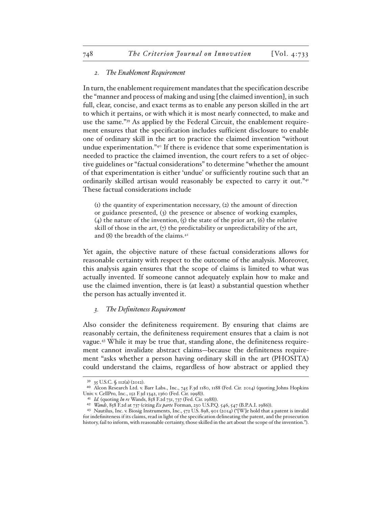#### *2. The Enablement Requirement*

In turn, the enablement requirement mandates that the specification describe the "manner and process of making and using [the claimed invention], in such full, clear, concise, and exact terms as to enable any person skilled in the art to which it pertains, or with which it is most nearly connected, to make and use the same."39 As applied by the Federal Circuit, the enablement requirement ensures that the specification includes sufficient disclosure to enable one of ordinary skill in the art to practice the claimed invention "without undue experimentation."40 If there is evidence that some experimentation is needed to practice the claimed invention, the court refers to a set of objective guidelines or "factual considerations" to determine "whether the amount of that experimentation is either 'undue' or sufficiently routine such that an ordinarily skilled artisan would reasonably be expected to carry it out."41 These factual considerations include

(1) the quantity of experimentation necessary, (2) the amount of direction or guidance presented, (3) the presence or absence of working examples, (4) the nature of the invention,  $\zeta$  the state of the prior art,  $\zeta$  the relative skill of those in the art,  $(7)$  the predictability or unpredictability of the art, and (8) the breadth of the claims.42

Yet again, the objective nature of these factual considerations allows for reasonable certainty with respect to the outcome of the analysis. Moreover, this analysis again ensures that the scope of claims is limited to what was actually invented. If someone cannot adequately explain how to make and use the claimed invention, there is (at least) a substantial question whether the person has actually invented it.

### *3. The Definiteness Requirement*

Also consider the definiteness requirement. By ensuring that claims are reasonably certain, the definiteness requirement ensures that a claim is not vague.43 While it may be true that, standing alone, the definiteness requirement cannot invalidate abstract claims—because the definiteness requirement "asks whether a person having ordinary skill in the art (PHOSITA) could understand the claims, regardless of how abstract or applied they

<sup>39</sup> 35 U.S.C. § 112(a) (2012).

<sup>40</sup> Alcon Research Ltd. v. Barr Labs., Inc., 745 F.3d 1180, 1188 (Fed. Cir. 2014) (quoting Johns Hopkins Univ. v. CellPro, Inc., 152 F.3d 1342, 1360 (Fed. Cir. 1998)).

<sup>41</sup> *Id.* (quoting *In re* Wands, 858 F.2d 731, 737 (Fed. Cir. 1988)).

<sup>42</sup> *Wands*, 858 F.2d at 737 (citing *Ex parte* Forman, 230 U.S.P.Q. 546, 547 (B.P.A.I. 1986)).

<sup>43</sup> Nautilus, Inc. v. Biosig Instruments, Inc., 572 U.S. 898, 901 (2014) ("[W]e hold that a patent is invalid for indefiniteness if its claims, read in light of the specification delineating the patent, and the prosecution history, fail to inform, with reasonable certainty, those skilled in the art about the scope of the invention.").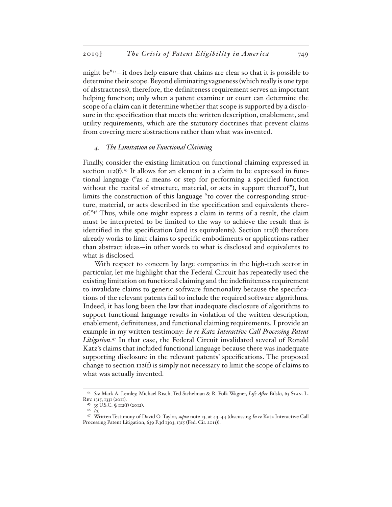might be"44—it does help ensure that claims are clear so that it is possible to determine their scope. Beyond eliminating vagueness (which really is one type of abstractness), therefore, the definiteness requirement serves an important helping function; only when a patent examiner or court can determine the scope of a claim can it determine whether that scope is supported by a disclosure in the specification that meets the written description, enablement, and utility requirements, which are the statutory doctrines that prevent claims from covering mere abstractions rather than what was invented.

#### *4. The Limitation on Functional Claiming*

Finally, consider the existing limitation on functional claiming expressed in section  $112(f).45$  It allows for an element in a claim to be expressed in functional language ("as a means or step for performing a specified function without the recital of structure, material, or acts in support thereof", but limits the construction of this language "to cover the corresponding structure, material, or acts described in the specification and equivalents thereof."46 Thus, while one might express a claim in terms of a result, the claim must be interpreted to be limited to the way to achieve the result that is identified in the specification (and its equivalents). Section  $112(f)$  therefore already works to limit claims to specific embodiments or applications rather than abstract ideas—in other words to what is disclosed and equivalents to what is disclosed.

With respect to concern by large companies in the high-tech sector in particular, let me highlight that the Federal Circuit has repeatedly used the existing limitation on functional claiming and the indefiniteness requirement to invalidate claims to generic software functionality because the specifications of the relevant patents fail to include the required software algorithms. Indeed, it has long been the law that inadequate disclosure of algorithms to support functional language results in violation of the written description, enablement, definiteness, and functional claiming requirements. I provide an example in my written testimony: *In re Katz Interactive Call Processing Patent Litigation*. 47 In that case, the Federal Circuit invalidated several of Ronald Katz's claims that included functional language because there was inadequate supporting disclosure in the relevant patents' specifications. The proposed change to section  $112(f)$  is simply not necessary to limit the scope of claims to what was actually invented.

<sup>44</sup> *See* Mark A. Lemley, Michael Risch, Ted Sichelman & R. Polk Wagner, *Life After* Bilski, 63 Stan. L. Rev. 1315, 1331 (2011).

<sup>45</sup> 35 U.S.C. § 112(f) (2012).

<sup>46</sup> *Id.*

<sup>47</sup> Written Testimony of David O. Taylor, *supra* note 13, at 43–44 (discussing *In re* Katz Interactive Call Processing Patent Litigation, 639 F.3d 1303, 1315 (Fed. Cir. 2011).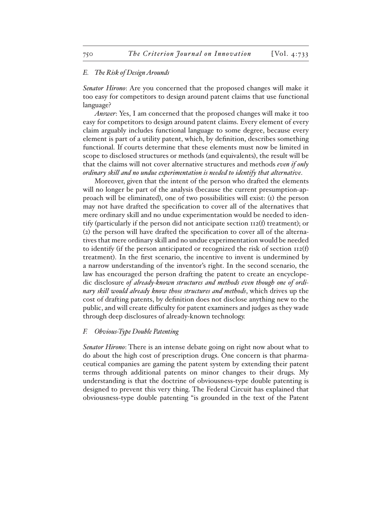#### *E. The Risk of Design Arounds*

*Senator Hirono*: Are you concerned that the proposed changes will make it too easy for competitors to design around patent claims that use functional language?

*Answer*: Yes, I am concerned that the proposed changes will make it too easy for competitors to design around patent claims. Every element of every claim arguably includes functional language to some degree, because every element is part of a utility patent, which, by definition, describes something functional. If courts determine that these elements must now be limited in scope to disclosed structures or methods (and equivalents), the result will be that the claims will not cover alternative structures and methods *even if only ordinary skill and no undue experimentation is needed to identify that alternative*.

Moreover, given that the intent of the person who drafted the elements will no longer be part of the analysis (because the current presumption-approach will be eliminated), one of two possibilities will exist: (1) the person may not have drafted the specification to cover all of the alternatives that mere ordinary skill and no undue experimentation would be needed to identify (particularly if the person did not anticipate section 112(f) treatment); or (2) the person will have drafted the specification to cover all of the alternatives that mere ordinary skill and no undue experimentation would be needed to identify (if the person anticipated or recognized the risk of section 112(f) treatment). In the first scenario, the incentive to invent is undermined by a narrow understanding of the inventor's right. In the second scenario, the law has encouraged the person drafting the patent to create an encyclopedic disclosure *of already-known structures and methods even though one of ordinary skill would already know those structures and methods*, which drives up the cost of drafting patents, by definition does not disclose anything new to the public, and will create difficulty for patent examiners and judges as they wade through deep disclosures of already-known technology.

#### *F. Obvious-Type Double Patenting*

*Senator Hirono*: There is an intense debate going on right now about what to do about the high cost of prescription drugs. One concern is that pharmaceutical companies are gaming the patent system by extending their patent terms through additional patents on minor changes to their drugs. My understanding is that the doctrine of obviousness-type double patenting is designed to prevent this very thing. The Federal Circuit has explained that obviousness-type double patenting "is grounded in the text of the Patent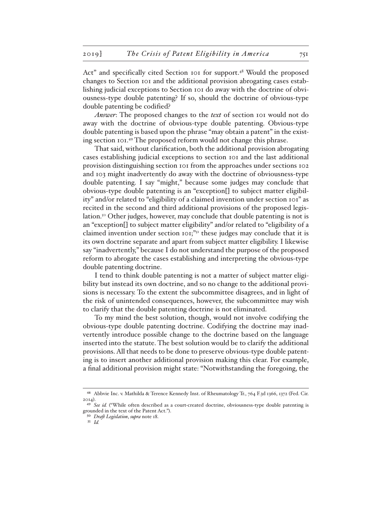Act" and specifically cited Section 101 for support.48 Would the proposed changes to Section 101 and the additional provision abrogating cases establishing judicial exceptions to Section 101 do away with the doctrine of obviousness-type double patenting? If so, should the doctrine of obvious-type double patenting be codified?

*Answer*: The proposed changes to the *text* of section 101 would not do away with the doctrine of obvious-type double patenting. Obvious-type double patenting is based upon the phrase "may obtain a patent" in the existing section 101.49 The proposed reform would not change this phrase.

That said, without clarification, both the additional provision abrogating cases establishing judicial exceptions to section 101 and the last additional provision distinguishing section 101 from the approaches under sections 102 and 103 might inadvertently do away with the doctrine of obviousness-type double patenting. I say "might," because some judges may conclude that obvious-type double patenting is an "exception[] to subject matter eligibility" and/or related to "eligibility of a claimed invention under section 101" as recited in the second and third additional provisions of the proposed legislation.50 Other judges, however, may conclude that double patenting is not is an "exception[] to subject matter eligibility" and/or related to "eligibility of a claimed invention under section  $\text{IO}$ <sub>1</sub>," $\text{I}$ <sup>1</sup> these judges may conclude that it is its own doctrine separate and apart from subject matter eligibility. I likewise say "inadvertently," because I do not understand the purpose of the proposed reform to abrogate the cases establishing and interpreting the obvious-type double patenting doctrine.

I tend to think double patenting is not a matter of subject matter eligibility but instead its own doctrine, and so no change to the additional provisions is necessary. To the extent the subcommittee disagrees, and in light of the risk of unintended consequences, however, the subcommittee may wish to clarify that the double patenting doctrine is not eliminated.

To my mind the best solution, though, would not involve codifying the obvious-type double patenting doctrine. Codifying the doctrine may inadvertently introduce possible change to the doctrine based on the language inserted into the statute. The best solution would be to clarify the additional provisions. All that needs to be done to preserve obvious-type double patenting is to insert another additional provision making this clear. For example, a final additional provision might state: "Notwithstanding the foregoing, the

<sup>48</sup> Abbvie Inc. v. Mathilda & Terence Kennedy Inst. of Rheumatology Tr., 764 F.3d 1366, 1372 (Fed. Cir. 2014).

<sup>&</sup>lt;sup>49</sup> See id. ("While often described as a court-created doctrine, obviousness-type double patenting is grounded in the text of the Patent Act.").

<sup>50</sup> *Draft Legislation*, *supra* note 18.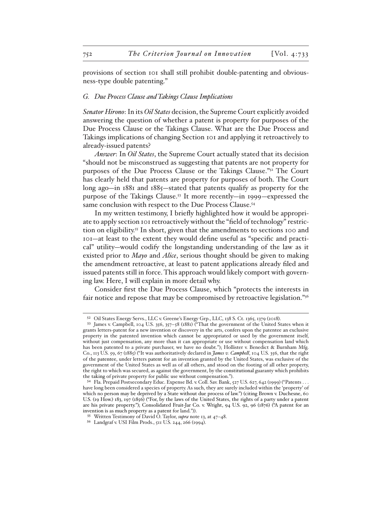provisions of section 101 shall still prohibit double-patenting and obviousness-type double patenting."

#### *G. Due Process Clause and Takings Clause Implications*

*Senator Hirono*: In its *Oil States* decision, the Supreme Court explicitly avoided answering the question of whether a patent is property for purposes of the Due Process Clause or the Takings Clause. What are the Due Process and Takings implications of changing Section 101 and applying it retroactively to already-issued patents?

*Answer*: In *Oil States*, the Supreme Court actually stated that its decision "should not be misconstrued as suggesting that patents are not property for purposes of the Due Process Clause or the Takings Clause."52 The Court has clearly held that patents are property for purposes of both. The Court long ago—in 1881 and 1885—stated that patents qualify as property for the purpose of the Takings Clause.53 It more recently—in 1999—expressed the same conclusion with respect to the Due Process Clause.<sup>54</sup>

In my written testimony, I briefly highlighted how it would be appropriate to apply section 101 retroactively without the "field of technology" restriction on eligibility.<sup>55</sup> In short, given that the amendments to sections 100 and 101—at least to the extent they would define useful as "specific and practical" utility—would codify the longstanding understanding of the law as it existed prior to *Mayo* and *Alice*, serious thought should be given to making the amendment retroactive, at least to patent applications already filed and issued patents still in force. This approach would likely comport with governing law. Here, I will explain in more detail why.

Consider first the Due Process Clause, which "protects the interests in fair notice and repose that may be compromised by retroactive legislation."<sup>56</sup>

<sup>52</sup> Oil States Energy Servs., LLC v. Greene's Energy Grp., LLC, 138 S. Ct. 1365, 1379 (2018).

<sup>53</sup> James v. Campbell, 104 U.S. 356, 357–58 (1881) ("That the government of the United States when it grants letters-patent for a new invention or discovery in the arts, confers upon the patentee an exclusive property in the patented invention which cannot be appropriated or used by the government itself, without just compensation, any more than it can appropriate or use without compensation land which has been patented to a private purchaser, we have no doubt."); Hollister v. Benedict & Burnham Mfg. Co., 113 U.S. 59, 67 (1885) ("It was authoritatively declared in *James v. Campbell*, 104 U.S. 356, that the right of the patentee, under letters patent for an invention granted by the United States, was exclusive of the government of the United States as well as of all others, and stood on the footing of all other property, the right to which was secured, as against the government, by the constitutional guaranty which prohibits the taking of private property for public use without compensation.").

<sup>54</sup> Fla. Prepaid Postsecondary Educ. Expense Bd. v. Coll. Sav. Bank, 527 U.S. 627, 642 (1999) ("Patents . . . have long been considered a species of property. As such, they are surely included within the 'property' of which no person may be deprived by a State without due process of law.") (citing Brown v. Duchesne, 60 U.S. (19 How.) 183, 197 (1856) ("For, by the laws of the United States, the rights of a party under a patent are his private property."); Consolidated Fruit-Jar Co. v. Wright, 94 U.S. 92, 96 (1876) ("A patent for an invention is as much property as a patent for land.")).

<sup>55</sup> Written Testimony of David O. Taylor, *supra* note 13, at 47–48.

<sup>56</sup> Landgraf v. USI Film Prods., 511 U.S. 244, 266 (1994).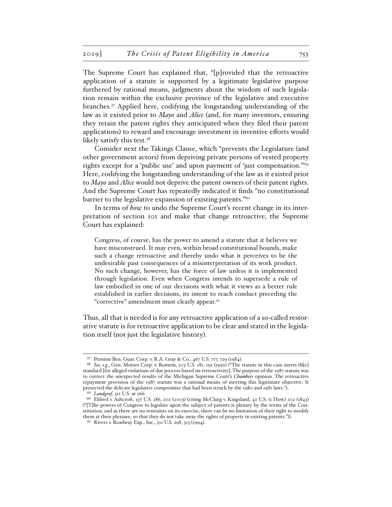The Supreme Court has explained that, "[p]rovided that the retroactive application of a statute is supported by a legitimate legislative purpose furthered by rational means, judgments about the wisdom of such legislation remain within the exclusive province of the legislative and executive branches.57 Applied here, codifying the longstanding understanding of the law as it existed prior to *Mayo* and *Alice* (and, for many inventors, ensuring they retain the patent rights they anticipated when they filed their patent applications) to reward and encourage investment in inventive efforts would likely satisfy this test.<sup>58</sup>

Consider next the Takings Clause, which "prevents the Legislature (and other government actors) from depriving private persons of vested property rights except for a 'public use' and upon payment of 'just compensation.'"59 Here, codifying the longstanding understanding of the law as it existed prior to *Mayo* and *Alice* would not deprive the patent owners of their patent rights. And the Supreme Court has repeatedly indicated it finds "no constitutional barrier to the legislative expansion of existing patents."<sup>60</sup>

In terms of *how* to undo the Supreme Court's recent change in its interpretation of section 101 and make that change retroactive, the Supreme Court has explained:

Congress, of course, has the power to amend a statute that it believes we have misconstrued. It may even, within broad constitutional bounds, make such a change retroactive and thereby undo what it perceives to be the undesirable past consequences of a misinterpretation of its work product. No such change, however, has the force of law unless it is implemented through legislation. Even when Congress intends to supersede a rule of law embodied in one of our decisions with what it views as a better rule established in earlier decisions, its intent to reach conduct preceding the "corrective" amendment must clearly appear.<sup>61</sup>

Thus, all that is needed is for any retroactive application of a so-called restorative statute is for retroactive application to be clear and stated in the legislation itself (not just the legislative history).

<sup>57</sup> Pension Ben. Guar. Corp. v. R.A. Gray & Co., 467 U.S. 717, 729 (1984).

<sup>58</sup> *See, e.g.*, Gen. Motors Corp. v. Romein, 503 U.S. 181, 191 (1992) ("The statute in this case meets th[e] standard [for alleged violations of due process based on retroactivity]. The purpose of the 1987 statute was to correct the unexpected results of the Michigan Supreme Court's *Chambers* opinion. The retroactive repayment provision of the 1987 statute was a rational means of meeting this legitimate objective: It preserved the delicate legislative compromise that had been struck by the 1980 and 1981 laws.").

<sup>59</sup> *Landgraf*, 511 U.S. at 266.

<sup>60</sup> Eldred v. Ashcroft, 537 U.S. 186, 202 (2003) (citing McClurg v. Kingsland, 42 U.S. (1 How.) 202 (1843) ("[T]he powers of Congress to legislate upon the subject of patents is plenary by the terms of the Constitution, and as there are no restraints on its exercise, there can be no limitation of their right to modify them at their pleasure, so that they do not take away the rights of property in existing patents.")).

<sup>61</sup> Rivers v. Roadway Exp., Inc., 511 U.S. 298, 313 (1994).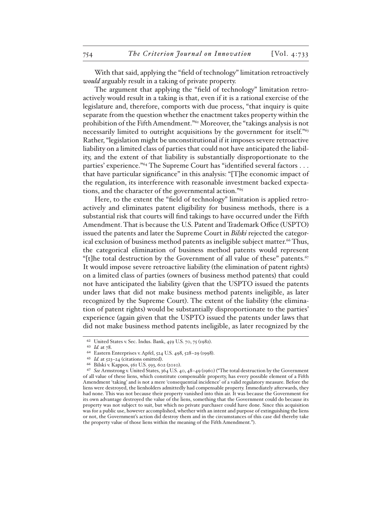With that said, applying the "field of technology" limitation retroactively *would* arguably result in a taking of private property.

The argument that applying the "field of technology" limitation retroactively would result in a taking is that, even if it is a rational exercise of the legislature and, therefore, comports with due process, "that inquiry is quite separate from the question whether the enactment takes property within the prohibition of the Fifth Amendment."<sup>62</sup> Moreover, the "takings analysis is not necessarily limited to outright acquisitions by the government for itself."<sup>63</sup> Rather, "legislation might be unconstitutional if it imposes severe retroactive liability on a limited class of parties that could not have anticipated the liability, and the extent of that liability is substantially disproportionate to the parties' experience."<sup>64</sup> The Supreme Court has "identified several factors . . . that have particular significance" in this analysis: "[T]he economic impact of the regulation, its interference with reasonable investment backed expectations, and the character of the governmental action."65

Here, to the extent the "field of technology" limitation is applied retroactively and eliminates patent eligibility for business methods, there is a substantial risk that courts will find takings to have occurred under the Fifth Amendment. That is because the U.S. Patent and Trademark Office (USPTO) issued the patents and later the Supreme Court in *Bilski* rejected the categorical exclusion of business method patents as ineligible subject matter.<sup>66</sup> Thus, the categorical elimination of business method patents would represent "[t]he total destruction by the Government of all value of these" patents.<sup>67</sup> It would impose severe retroactive liability (the elimination of patent rights) on a limited class of parties (owners of business method patents) that could not have anticipated the liability (given that the USPTO issued the patents under laws that did not make business method patents ineligible, as later recognized by the Supreme Court). The extent of the liability (the elimination of patent rights) would be substantially disproportionate to the parties' experience (again given that the USPTO issued the patents under laws that did not make business method patents ineligible, as later recognized by the

<sup>62</sup> United States v. Sec. Indus. Bank, 459 U.S. 70, 75 (1982).

<sup>63</sup> *Id.* at 78.

<sup>64</sup> Eastern Enterprises v. Apfel, 524 U.S. 498, 528–29 (1998).

<sup>65</sup> *Id.* at 523–24 (citations omitted).

<sup>66</sup> Bilski v. Kappos, 561 U.S. 593, 602 (2010).

<sup>67</sup> *See* Armstrong v. United States, 364 U.S. 40, 48–49 (1960) ("The total destruction by the Government of all value of these liens, which constitute compensable property, has every possible element of a Fifth Amendment 'taking' and is not a mere 'consequential incidence' of a valid regulatory measure. Before the liens were destroyed, the lienholders admittedly had compensable property. Immediately afterwards, they had none. This was not because their property vanished into thin air. It was because the Government for its own advantage destroyed the value of the liens, something that the Government could do because its property was not subject to suit, but which no private purchaser could have done. Since this acquisition was for a public use, however accomplished, whether with an intent and purpose of extinguishing the liens or not, the Government's action did destroy them and in the circumstances of this case did thereby take the property value of those liens within the meaning of the Fifth Amendment.").